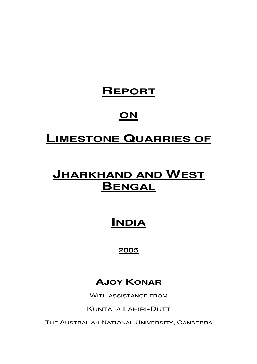# **REPORT**

# **ON**

# **LIMESTONE QUARRIES OF**

# **JHARKHAND AND WEST BENGAL**

# **INDIA**

# **2005**

# **AJOY KONAR**

WITH ASSISTANCE FROM

KUNTALA LAHIRI-DUTT

THE AUSTRALIAN NATIONAL UNIVERSITY, CANBERRA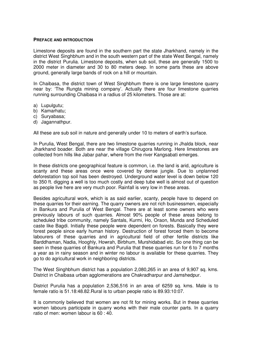#### **PREFACE AND INTRODUCTION**

Limestone deposits are found in the southern part the state Jharkhand, namely in the district West Singhbhum and in the south western part of the state West Bengal, namely in the district Purulia. Limestone deposits, when sub soil, these are generally 1500 to 2000 meter in diameter and 30 to 80 meters deep. In some parts these are above ground, generally large bands of rock on a hill or mountain.

In Chaibasa, the district town of West Singhbhum there is one large limestone quarry near by: 'The Rungta mining company'. Actually there are four limestone quarries running surrounding Chaibasa in a radius of 25 kilometers. Those are at:

- a) Lupulgutu:
- b) Kamarhatu;
- c) Suryabasa;
- d) Jagannathpur.

All these are sub soil in nature and generally under 10 to meters of earth's surface.

In Purulia, West Bengal, there are two limestone quarries running in Jhalda block, near Jharkhand boader. Both are near the village Chirugora Marlong. Here limestones are collected from hills like Jabar pahar, where from the river Kangsabati emerges.

In these districts one geographical feature is common, i.e. the land is arid, agriculture is scanty and these areas once were covered by dense jungle. Due to unplanned deforestation top soil has been destroyed. Underground water level is down below 120 to 350 ft. digging a well is too much costly and deep tube well is almost out of question as people live here are very much poor. Rainfall is very low in these areas.

Besides agricultural work, which is as said earlier, scanty, people have to depend on these quarries for their earning. The quarry owners are not rich businessmen, especially in Bankura and Purulia of West Bengal. There are at least some owners who were previously labours of such quarries. Almost 90% people of these areas belong to scheduled tribe community, namely Santals, Kurmi, Ho, Oraon, Munda and Scheduled caste like Bagdi. Initially these people were dependent on forests. Basically they were forest people since early human history. Destruction of forest forced them to become labourers of these quarries and in agricultural field of other fertile districts like Barddhaman, Nadia, Hooghly, Howrah, Birbhum, Murshidabad etc. So one thing can be seen in these quarries of Bankura and Purulia that these quarries run for 6 to 7 months a year as in rainy season and in winter no labour is available for these quarries. They go to do agricultural work in neighboring districts.

The West Singhbhum district has a population 2,080,265 in an area of 9,907 sq. kms. District in Chaibasa urban agglomerations are Chakradharpur and Jamshedpur.

District Purulia has a population 2,536,516 in an area of 6259 sq. kms. Male is to female ratio is 51.18:48.82.Rural is to urban people ratio is 89.93:10:07.

It is commonly believed that women are not fit for mining works. But in these quarries women labours participate in quarry works with their male counter parts. In a quarry ratio of men: women labour is 60 : 40.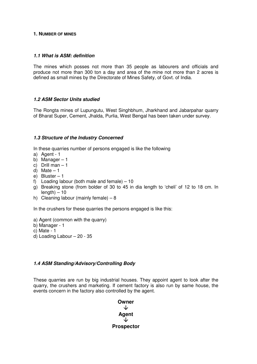#### **1. NUMBER OF MINES**

#### **1.1 What is ASM: definition**

The mines which posses not more than 35 people as labourers and officials and produce not more than 300 ton a day and area of the mine not more than 2 acres is defined as small mines by the Directorate of Mines Safety, of Govt. of India.

#### **1.2 ASM Sector Units studied**

The Rongta mines of Lupungutu, West Singhbhum, Jharkhand and Jabarpahar quarry of Bharat Super, Cement, Jhalda, Purlia, West Bengal has been taken under survey.

#### **1.3 Structure of the Industry Concerned**

In these quarries number of persons engaged is like the following

- a) Agent 1
- b) Manager 1
- c) Drill man 1
- d) Mate  $-1$
- e) Bluster 1
- f) Loading labour (both male and female)  $-10$
- g) Breaking stone (from bolder of 30 to 45 in dia length to 'cheli' of 12 to 18 cm. In  $l$ ength $) - 10$
- h) Cleaning labour (mainly female) 8

In the crushers for these quarries the persons engaged is like this:

- a) Agent (common with the quarry)
- b) Manager 1
- c) Mate 1
- d) Loading Labour 20 35

#### **1.4 ASM Standing/Advisory/Controlling Body**

These quarries are run by big industrial houses. They appoint agent to look after the quarry, the crushers and marketing. If cement factory is also run by same house, the events concern in the factory also controlled by the agent.

**Owner**  ◡ **Agent**  ↓ **Prospector**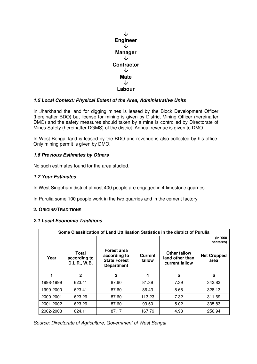

# **1.5 Local Context: Physical Extent of the Area, Administrative Units**

In Jharkhand the land for digging mines is leased by the Block Development Officer (hereinafter BDO) but license for mining is given by District Mining Officer (hereinafter DMO) and the safety measures should taken by a mine is controlled by Directorate of Mines Safety (hereinafter DGMS) of the district. Annual revenue is given to DMO.

In West Bengal land is leased by the BDO and revenue is also collected by his office. Only mining permit is given by DMO.

# **1.6 Previous Estimates by Others**

No such estimates found for the area studied.

# **1.7 Your Estimates**

In West Singbhum district almost 400 people are engaged in 4 limestone quarries.

In Purulia some 100 people work in the two quarries and in the cement factory.

#### **2. ORIGINS/TRADITIONS**

# **2.1 Local Economic Traditions**

|           | Some Classification of Land Uttilisation Statistics in the district of Purulia |                                                                                |                   |                                                   |                            |  |  |  |  |  |
|-----------|--------------------------------------------------------------------------------|--------------------------------------------------------------------------------|-------------------|---------------------------------------------------|----------------------------|--|--|--|--|--|
|           |                                                                                |                                                                                |                   |                                                   | (in '000<br>hectares)      |  |  |  |  |  |
| Year      | Total<br>according to<br><b>D.L.R., W.B.</b>                                   | <b>Forest area</b><br>according to<br><b>State Forest</b><br><b>Department</b> | Current<br>fallow | Other fallow<br>land other than<br>current fallow | <b>Net Cropped</b><br>area |  |  |  |  |  |
| 1         | $\mathbf{2}$                                                                   | 3                                                                              | 4                 | 5                                                 | 6                          |  |  |  |  |  |
| 1998-1999 | 623.41                                                                         | 87.60                                                                          | 81.39             | 7.39                                              | 343.83                     |  |  |  |  |  |
| 1999-2000 | 623.41                                                                         | 87.60                                                                          | 86.43             | 8.68                                              | 328.13                     |  |  |  |  |  |
| 2000-2001 | 623.29                                                                         | 87.60                                                                          | 113.23            | 7.32                                              | 311.69                     |  |  |  |  |  |
| 2001-2002 | 623.29                                                                         | 87.60                                                                          | 93.50             | 5.02                                              | 335.83                     |  |  |  |  |  |
| 2002-2003 | 624.11                                                                         | 87.17                                                                          | 167.79            | 4.93                                              | 256.94                     |  |  |  |  |  |

Source: Directorate of Agriculture, Government of West Bengal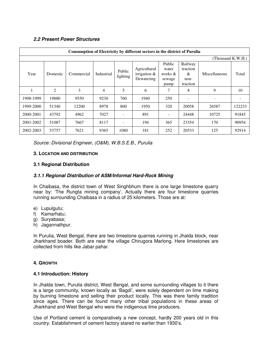# **2.2 Present Power Structures**

|           |          |            |            |                    | Consumption of Electricity by different sectors in the district of Purulia |                                              |                                              |                   |        |
|-----------|----------|------------|------------|--------------------|----------------------------------------------------------------------------|----------------------------------------------|----------------------------------------------|-------------------|--------|
|           |          |            |            |                    |                                                                            |                                              |                                              | (Thousand K.W.H.) |        |
| Year      | Domestic | Commercial | Industrial | Public<br>lighting | Agricultural<br>irrigation $&$<br>Dewatering                               | Public<br>water<br>works &<br>sewage<br>pump | Railway<br>traction<br>&<br>non-<br>traction | Miscellaneous     | Total  |
|           | 2        | 3          | 4          | 5                  | 6                                                                          | 7                                            | 8                                            | 9                 | 10     |
| 1998-1999 | 19880    | 9550       | 9230       | 760                | 1940                                                                       | 250                                          |                                              |                   |        |
| 1999-2000 | 51340    | 12200      | 8978       | 800                | 1950                                                                       | 320                                          | 20058                                        | 26587             | 122233 |
| 2000-2001 | 43792    | 4962       | 7027       |                    | 891                                                                        |                                              | 24448                                        | 10725             | 91845  |
| 2001-2002 | 51087    | 7667       | 8117       |                    | 194                                                                        | 365                                          | 23354                                        | 170               | 90954  |
| 2002-2003 | 53757    | 7621       | 9365       | 1080               | 181                                                                        | 252                                          | 20533                                        | 125               | 92914  |

Source: Divisional Engineer, (O&M), W.B.S.E.B., Purulia

#### **3. LOCATION AND DISTRIBUTION**

# **3.1 Regional Distribution**

#### **3.1.1 Regional Distribution of ASM/Informal Hard-Rock Mining**

In Chaibasa, the district town of West Singhbhum there is one large limestone quarry near by: 'The Rungta mining company'. Actually there are four limestone quarries running surrounding Chaibasa in a radius of 25 kilometers. Those are at:

- e) Lupulgutu;
- f) Kamarhatu;
- g) Suryabasa;
- h) Jagannathpur.

In Purulia, West Bengal, there are two limestone quarries running in Jhalda block, near Jharkhand boader. Both are near the village Chirugora Marlong. Here limestones are collected from hills like Jabar pahar.

#### **4. GROWTH**

#### **4.1 Introduction: History**

In Jhalda town, Purulia district, West Bengal, and some surrounding villages to it there is a large community, known locally as 'Bagdi', were solely dependent on lime making by burning limestone and selling their product locally. This was there family tradition since ages. There can be found many other tribal populations in these areas of Jharkhand and West Bengal who were the indigenous lime producers.

Use of Portland cement is comparatively a new concept, hardly 200 years old in this country. Establishment of cement factory stared no earlier than 1930's.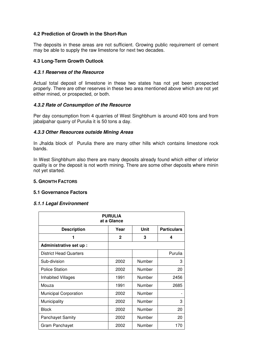# **4.2 Prediction of Growth in the Short-Run**

The deposits in these areas are not sufficient. Growing public requirement of cement may be able to supply the raw limestone for next two decades.

#### **4.3 Long-Term Growth Outlook**

#### **4.3.1 Reserves of the Resource**

Actual total deposit of limestone in these two states has not yet been prospected properly. There are other reserves in these two area mentioned above which are not yet either mined, or prospected, or both.

#### **4.3.2 Rate of Consumption of the Resource**

Per day consumption from 4 quarries of West Singhbhum is around 400 tons and from jabalpahar quarry of Purulia it is 50 tons a day.

#### **4.3.3 Other Resources outside Mining Areas**

In Jhalda block of Purulia there are many other hills which contains limestone rock bands.

In West Singhbhum also there are many deposits already found which either of inferior quality is or the deposit is not worth mining. There are some other deposits where minin not yet started.

#### **5. GROWTH FACTORS**

#### **5.1 Governance Factors**

#### **5.1.1 Legal Environment**

| <b>PURULIA</b><br>at a Glance |              |             |                    |  |  |  |  |  |
|-------------------------------|--------------|-------------|--------------------|--|--|--|--|--|
| <b>Description</b>            | Year         | <b>Unit</b> | <b>Particulars</b> |  |  |  |  |  |
| 1                             | $\mathbf{2}$ | 3           | 4                  |  |  |  |  |  |
| Administrative set up :       |              |             |                    |  |  |  |  |  |
| <b>District Head Quarters</b> |              |             | Purulia            |  |  |  |  |  |
| Sub-division                  | 2002         | Number      | 3                  |  |  |  |  |  |
| <b>Police Station</b>         | 2002         | Number      | 20                 |  |  |  |  |  |
| <b>Inhabited Villages</b>     | 1991         | Number      | 2456               |  |  |  |  |  |
| Mouza                         | 1991         | Number      | 2685               |  |  |  |  |  |
| <b>Municipal Corporation</b>  | 2002         | Number      |                    |  |  |  |  |  |
| Municipality                  | 2002         | Number      | 3                  |  |  |  |  |  |
| <b>Block</b>                  | 2002         | Number      | 20                 |  |  |  |  |  |
| <b>Panchayet Samity</b>       | 2002         | Number      | 20                 |  |  |  |  |  |
| Gram Panchayet                | 2002         | Number      | 170                |  |  |  |  |  |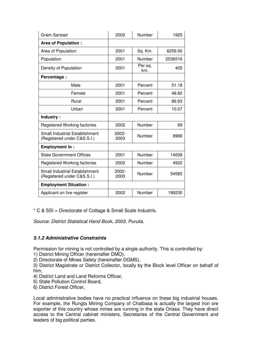| Gram Sansad                                                          | 2002             | Number         | 1925    |
|----------------------------------------------------------------------|------------------|----------------|---------|
| <b>Area of Population:</b>                                           |                  |                |         |
| Area of Population                                                   | 2001             | Sq. Km.        | 6259.00 |
| Population                                                           | 2001             | Number         | 2536516 |
| Density of Population                                                | 2001             | Per sq.<br>km. | 405     |
| Percentage:                                                          |                  |                |         |
| Male                                                                 | 2001             | Percent        | 51.18   |
| Female                                                               | 2001             | Percent        | 48.82   |
| Rural                                                                | 2001             | Percent        | 89.93   |
| Urban                                                                | 2001             | Percent        | 10.07   |
| Industry:                                                            |                  |                |         |
| <b>Registered Working factories</b>                                  | 2002             | Number         | 69      |
| <b>Small Industrial Establishment</b><br>(Registered under C&S.S.I.) | $2002 -$<br>2003 | Number         | 8966    |
| <b>Employment in:</b>                                                |                  |                |         |
| <b>State Government Offices</b>                                      | 2001             | Number         | 14008   |
| Registered Working factories                                         | 2002             | Number         | 4922    |
| <b>Small Industrial Establishment</b><br>(Registered under C&S.S.I.) | $2002 -$<br>2003 | Number         | 54585   |
| <b>Employment Situation:</b>                                         |                  |                |         |
| Applicant on live register                                           | 2002             | Number         | 189230  |

\* C & SSI = Directorate of Cottage & Small Scale Industris.

Source: District Statistical Hand Book, 2003, Purulia.

# **5.1.2 Administrative Constraints**

Permission for mining is not controlled by a single authority. This is controlled by:

1) District Mining Officer (hereinafter DMO),

2) Directorate of Mines Safety (hereinafter DGMS),

3) District Magistrate or District Collector, locally by the Block level Officer on behalf of him,

- 4) District Land and Land Reforms Officer,
- 5) State Pollution Control Board,
- 6) District Forest Officer,

Local administrative bodies have no practical influence on these big industrial houses. For example, the Rungta Mining Company of Chaibasa is actually the largest iron ore exporter of this country whose mines are running in the state Orissa. They have direct access to the Central cabinet ministers, Secretaries of the Central Government and leaders of big political parties.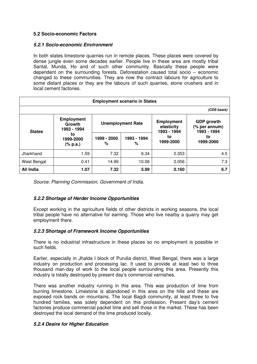# **5.2 Socio-economic Factors**

#### **5.2.1 Socio-economic Environment**

In both states limestone quarries run in remote places. These places were covered by dense jungle even some decades earlier. People live in these area are mostly tribal Santal, Munda, Ho and of such other community. Basically these people were dependent on the surrounding forests. Deforestation caused total socio – economic changed to these communities. They are now the contract labours for agriculture to some distant places or they are the labours of such quarries, stone crushers and in local cement factories.

|                  | <b>Employment scenario in States</b>       |                  |                          |                                                |                                                   |  |  |  |  |  |
|------------------|--------------------------------------------|------------------|--------------------------|------------------------------------------------|---------------------------------------------------|--|--|--|--|--|
| (CDS basis)      |                                            |                  |                          |                                                |                                                   |  |  |  |  |  |
| <b>States</b>    | <b>Employment</b><br>Growth<br>1993 - 1994 |                  | <b>Unemployment Rate</b> | <b>Employment</b><br>elasticity<br>1993 - 1994 | <b>GDP</b> growth<br>(% per annum)<br>1993 - 1994 |  |  |  |  |  |
|                  | to<br>1999-2000<br>(% p.a.)                | 1999 - 2000<br>℅ | 1993 - 1994<br>℅         | to<br>1999-2000                                | to<br>1999-2000                                   |  |  |  |  |  |
| Jharkhand        | 1.59                                       | 7.32             | 6.34                     | 0.353                                          | 4.5                                               |  |  |  |  |  |
| West Bengal      | 0.41                                       | 14.99            | 10.06                    | 0.056                                          | 7.3                                               |  |  |  |  |  |
| <b>All India</b> | 1.07                                       | 7.32             | 5.99                     | 0.160                                          | 6.7                                               |  |  |  |  |  |

Source: Planning Commission, Government of India.

# **5.2.2 Shortage of Herder Income Opportunities**

Except working in the agriculture fields of other districts in working seasons, the local tribal people have no alternative for earning. Those who live nearby a quarry may get employment there.

# **5.2.3 Shortage of Framework Income Opportunities**

There is no industrial infrastructure in these places so no employment is possible in such fields.

Earlier, especially in Jhalda I block of Purulia district, West Bengal, there was a large industry on production and processing lac. It used to provide at least two to three thousand man-day of work to the local people surrounding this area. Presently this industry is totally destroyed by present day's commercial varnishes.

There was another industry running in this area. This was production of lime from burning limestone. Limestone is abandoned in this area on the hills and these are exposed rock bands on mountains. The local Bagdi community, at least three to five hundred families, was solely dependent on this profession. Present day's cement factories produce commercial packet lime and sell those in the market. These has been destroyed the local demand of the lime produced locally.

#### **5.2.4 Desire for Higher Education**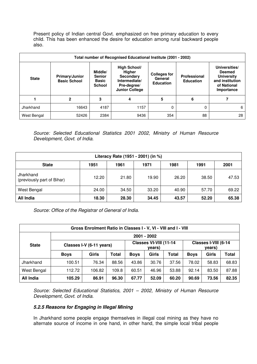Present policy of Indian central Govt. emphasized on free primary education to every child. This has been enhanced the desire for education among rural backward people also.

|              | Total number of Recognised Educational Institute (2001 - 2002) |                                                           |                                                                                                     |                                                    |                                  |                                                                                                     |  |  |  |  |  |
|--------------|----------------------------------------------------------------|-----------------------------------------------------------|-----------------------------------------------------------------------------------------------------|----------------------------------------------------|----------------------------------|-----------------------------------------------------------------------------------------------------|--|--|--|--|--|
| <b>State</b> | <b>Primary/Junior</b><br><b>Basic School</b>                   | Middle/<br><b>Senior</b><br><b>Basic</b><br><b>School</b> | High School/<br>Higher<br><b>Secondary</b><br>Intermediate/<br>Pre-degree/<br><b>Junior College</b> | <b>Colleges for</b><br>General<br><b>Education</b> | Professional<br><b>Education</b> | Universities/<br><b>Deemed</b><br><b>University</b><br>and institution<br>of National<br>Importance |  |  |  |  |  |
|              | 2                                                              | 3                                                         | 4                                                                                                   | 5                                                  | 6                                |                                                                                                     |  |  |  |  |  |
| Jharkhand    | 16643                                                          | 4187                                                      | 1157                                                                                                | 0                                                  | 0                                | 6                                                                                                   |  |  |  |  |  |
| West Bengal  | 52426                                                          | 2384                                                      | 9436                                                                                                | 354                                                | 88                               | 28                                                                                                  |  |  |  |  |  |

Source: Selected Educational Statistics 2001 2002, Ministry of Human Resource Development, Govt. of India.

| Literacy Rate (1951 - 2001) (in %)                           |       |       |       |       |       |       |  |  |  |  |
|--------------------------------------------------------------|-------|-------|-------|-------|-------|-------|--|--|--|--|
| 2001<br><b>State</b><br>1981<br>1961<br>1971<br>1991<br>1951 |       |       |       |       |       |       |  |  |  |  |
| Jharkhand<br>(previously part of Bihar)                      | 12.20 | 21.80 | 19.90 | 26.20 | 38.50 | 47.53 |  |  |  |  |
| West Bengal                                                  | 24.00 | 34.50 | 33.20 | 40.90 | 57.70 | 69.22 |  |  |  |  |
| All India                                                    | 18.30 | 28.30 | 34.45 | 43.57 | 52.20 | 65.38 |  |  |  |  |

Source: Office of the Registrar of General of India.

| Gross Enrolment Ratio in Classes I - V, VI - VIII and I - VIII |                          |        |              |             |                                  |       |             |                                |              |  |
|----------------------------------------------------------------|--------------------------|--------|--------------|-------------|----------------------------------|-------|-------------|--------------------------------|--------------|--|
| 2001 - 2002                                                    |                          |        |              |             |                                  |       |             |                                |              |  |
| <b>State</b>                                                   | Classes I-V (6-11 years) |        |              |             | Classes VI-VIII (11-14<br>years) |       |             | Classes I-VIII (6-14<br>years) |              |  |
|                                                                | <b>Boys</b>              | Girls  | <b>Total</b> | <b>Boys</b> | Girls                            | Total | <b>Boys</b> | <b>Girls</b>                   | <b>Total</b> |  |
| Jharkhand                                                      | 100.51                   | 76.34  | 88.56        | 43.86       | 30.76                            | 37.56 | 78.02       | 58.83                          | 68.83        |  |
| West Bengal                                                    | 112.72                   | 106.82 | 109.8        | 60.51       | 46.96                            | 53.88 | 92.14       | 83.50                          | 87.88        |  |
| All India                                                      | 105.29                   | 86.91  | 96.30        | 67.77       | 52.09                            | 60.20 | 90.69       | 73.56                          | 82.35        |  |

Source: Selected Educational Statistics, 2001 – 2002, Ministry of Human Resource Development, Govt. of India.

## **5.2.5 Reasons for Engaging in Illegal Mining**

In Jharkhand some people engage themselves in illegal coal mining as they have no alternate source of income in one hand, in other hand, the simple local tribal people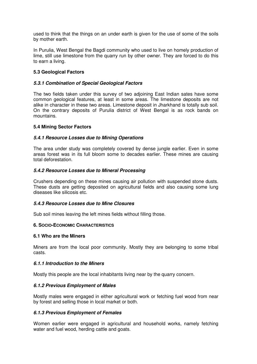used to think that the things on an under earth is given for the use of some of the soils by mother earth.

In Purulia, West Bengal the Bagdi community who used to live on homely production of lime, still use limestone from the quarry run by other owner. They are forced to do this to earn a living.

# **5.3 Geological Factors**

#### **5.3.1 Combination of Special Geological Factors**

The two fields taken under this survey of two adjoining East Indian sates have some common geological features, at least in some areas. The limestone deposits are not alike in character in these two areas. Limestone deposit in Jharkhand is totally sub soil. On the contrary deposits of Purulia district of West Bengal is as rock bands on mountains.

#### **5.4 Mining Sector Factors**

#### **5.4.1 Resource Losses due to Mining Operations**

The area under study was completely covered by dense jungle earlier. Even in some areas forest was in its full bloom some to decades earlier. These mines are causing total deforestation.

#### **5.4.2 Resource Losses due to Mineral Processing**

Crushers depending on these mines causing air pollution with suspended stone dusts. These dusts are getting deposited on agricultural fields and also causing some lung diseases like silicosis etc.

#### **5.4.3 Resource Losses due to Mine Closures**

Sub soil mines leaving the left mines fields without filling those.

#### **6. SOCIO-ECONOMIC CHARACTERISTICS**

#### **6.1 Who are the Miners**

Miners are from the local poor community. Mostly they are belonging to some tribal casts.

#### **6.1.1 Introduction to the Miners**

Mostly this people are the local inhabitants living near by the quarry concern.

#### **6.1.2 Previous Employment of Males**

Mostly males were engaged in either agricultural work or fetching fuel wood from near by forest and selling those in local market or both.

#### **6.1.3 Previous Employment of Females**

Women earlier were engaged in agricultural and household works, namely fetching water and fuel wood, herding cattle and goats.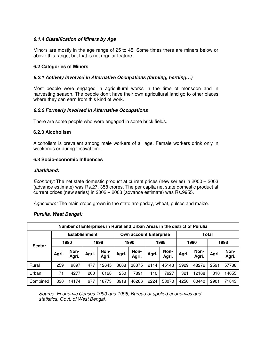# **6.1.4 Classification of Miners by Age**

Minors are mostly in the age range of 25 to 45. Some times there are miners below or above this range, but that is not regular feature.

#### **6.2 Categories of Miners**

#### **6.2.1 Actively Involved in Alternative Occupations (farming, herding…)**

Most people were engaged in agricultural works in the time of monsoon and in harvesting season. The people don't have their own agricultural land go to other places where they can earn from this kind of work.

#### **6.2.2 Formerly Involved in Alternative Occupations**

There are some people who were engaged in some brick fields.

#### **6.2.3 Alcoholism**

Alcoholism is prevalent among male workers of all age. Female workers drink only in weekends or during festival time.

#### **6.3 Socio-economic Influences**

#### **Jharkhand:**

Economy: The net state domestic product at current prices (new series) in 2000 – 2003 (advance estimate) was Rs.27, 358 crores. The per capita net state domestic product at current prices (new series) in 2002 – 2003 (advance estimate) was Rs.9955.

Agriculture: The main crops grown in the state are paddy, wheat, pulses and maize.

#### **Purulia, West Bengal:**

| Number of Enterprises in Rural and Urban Areas in the district of Purulia |                      |                      |       |               |       |                               |       |               |       |               |       |               |
|---------------------------------------------------------------------------|----------------------|----------------------|-------|---------------|-------|-------------------------------|-------|---------------|-------|---------------|-------|---------------|
|                                                                           | <b>Establishment</b> |                      |       |               |       | <b>Own account Enterprise</b> |       |               |       | Total         |       |               |
| <b>Sector</b>                                                             |                      | 1990<br>1998<br>1990 |       |               | 1998  |                               | 1990  |               | 1998  |               |       |               |
|                                                                           | Agri.                | Non-<br>Agri.        | Agri. | Non-<br>Agri. | Agri. | Non-<br>Agri.                 | Agri. | Non-<br>Agri. | Agri. | Non-<br>Agri. | Agri. | Non-<br>Agri. |
| Rural                                                                     | 259                  | 9897                 | 477   | 12645         | 3668  | 38375                         | 2114  | 45143         | 3929  | 48272         | 2591  | 57788         |
| Urban                                                                     | 71                   | 4277                 | 200   | 6128          | 250   | 7891                          | 110   | 7927          | 321   | 12168         | 310   | 14055         |
| Combined                                                                  | 330                  | 14174                | 677   | 18773         | 3918  | 46266                         | 2224  | 53070         | 4250  | 60440         | 2901  | 71843         |

Source: Economic Censes 1990 and 1998, Bureau of applied economics and statistics, Govt. of West Bengal.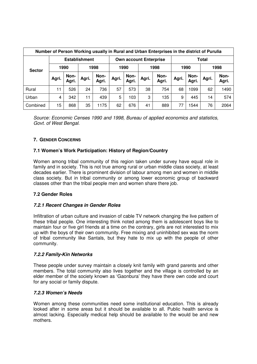|               | Number of Person Working usually in Rural and Urban Enterprises in the district of Purulia |                      |       |                               |              |               |       |               |       |               |       |               |
|---------------|--------------------------------------------------------------------------------------------|----------------------|-------|-------------------------------|--------------|---------------|-------|---------------|-------|---------------|-------|---------------|
|               |                                                                                            | <b>Establishment</b> |       | <b>Own account Enterprise</b> |              |               |       | Total         |       |               |       |               |
| <b>Sector</b> |                                                                                            | 1990                 |       | 1998                          | 1998<br>1990 |               |       |               | 1990  |               | 1998  |               |
|               | Agri.                                                                                      | Non-<br>Agri.        | Agri. | Non-<br>Agri.                 | Agri.        | Non-<br>Agri. | Agri. | Non-<br>Agri. | Agri. | Non-<br>Agri. | Agri. | Non-<br>Agri. |
| Rural         | 11                                                                                         | 526                  | 24    | 736                           | 57           | 573           | 38    | 754           | 68    | 1099          | 62    | 1490          |
| Urban         | 4                                                                                          | 342                  | 11    | 439                           | 5            | 103           | 3     | 135           | 9     | 445           | 14    | 574           |
| Combined      | 15                                                                                         | 868                  | 35    | 1175                          | 62           | 676           | 41    | 889           | 77    | 1544          | 76    | 2064          |

Source: Economic Censes 1990 and 1998, Bureau of applied economics and statistics, Govt. of West Bengal.

# **7. GENDER CONCERNS**

#### **7.1 Women's Work Participation: History of Region/Country**

Women among tribal community of this region taken under survey have equal role in family and in society. This is not true among rural or urban middle class society, at least decades earlier. There is prominent division of labour among men and women in middle class society. But in tribal community or among lower economic group of backward classes other than the tribal people men and women share there job.

#### **7.2 Gender Roles**

#### **7.2.1 Recent Changes in Gender Roles**

Infiltration of urban culture and invasion of cable TV network changing the live pattern of these tribal people. One interesting think noted among them is adolescent boys like to maintain four or five girl friends at a time on the contrary, girls are not interested to mix up with the boys of their own community. Free mixing and uninhibited sex was the norm of tribal community like Santals, but they hate to mix up with the people of other community.

#### **7.2.2 Family-Kin Networks**

These people under survey maintain a closely knit family with grand parents and other members. The total community also lives together and the village is controlled by an elder member of the society known as 'Gaonbura' they have there own code and court for any social or family dispute.

#### **7.2.3 Women's Needs**

Women among these communities need some institutional education. This is already looked after in some areas but it should be available to all. Public health service is almost lacking. Especially medical help should be available to the would be and new mothers.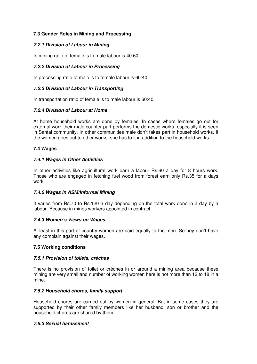# **7.3 Gender Roles in Mining and Processing**

# **7.2.1 Division of Labour in Mining**

In mining ratio of female is to male labour is 40:60.

# **7.2.2 Division of Labour in Processing**

In processing ratio of male is to female labour is 60:40.

# **7.2.3 Division of Labour in Transporting**

In transportation ratio of female is to male labour is 60:40.

# **7.2.4 Division of Labour at Home**

At home household works are done by females. In cases where females go out for external work their male counter part performs the domestic works, especially it is seen in Santal community. In other communities male don't takes part in household works. If the women goes out to other works, she has to it in addition to the household works.

# **7.4 Wages**

# **7.4.1 Wages in Other Activities**

In other activities like agricultural work earn a labour Rs.60 a day for 8 hours work. Those who are engaged in fetching fuel wood from forest earn only Rs.35 for a days work.

#### **7.4.2 Wages in ASM/Informal Mining**

It varies from Rs.70 to Rs.120 a day depending on the total work done in a day by a labour. Because in mines workers appointed in contract.

#### **7.4.3 Women's Views on Wages**

Ai least in this part of country women are paid equally to the men. So hey don't have any complain against their wages.

#### **7.5 Working conditions**

#### **7.5.1 Provision of toilets, crèches**

There is no provision of toilet or crèches in or around a mining area because these mining are very small and number of working women here is not more than 12 to 18 in a mine.

#### **7.5.2 Household chores, family support**

Household chores are carried out by women in general. But in some cases they are supported by their other family members like her husband, son or brother and the household chores are shared by them.

#### **7.5.3 Sexual harassment**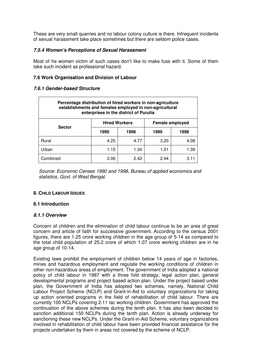These are very small quarries and no labour colony culture is there. Infrequent incidents of sexual harassment take place sometimes but there are seldom police cases.

## **7.5.4 Women's Perceptions of Sexual Harassment**

Most of he women victim of such cases don't like to make fuss with it. Some of them take such incident as professional hazard.

# **7.6 Work Organisation and Division of Labour**

#### **7.6.1 Gender-based Structure**

| Percentage distribution of hired workers in non-agriculture<br>establishments and females employed in non-agricultural<br>enterprises in the district of Purulia |                      |      |                 |      |  |  |  |  |  |
|------------------------------------------------------------------------------------------------------------------------------------------------------------------|----------------------|------|-----------------|------|--|--|--|--|--|
| <b>Sector</b>                                                                                                                                                    | <b>Hired Workers</b> |      | Female employed |      |  |  |  |  |  |
|                                                                                                                                                                  | 1990                 | 1998 | 1990            | 1998 |  |  |  |  |  |
| Rural                                                                                                                                                            | 4.25                 | 4.77 | 3.20            | 4.08 |  |  |  |  |  |
| Urban                                                                                                                                                            | 1.15                 | 1.34 | 1.01            | 1.39 |  |  |  |  |  |
| Combined                                                                                                                                                         | 2.06                 | 2.42 | 244             | 3.11 |  |  |  |  |  |

Source: Economic Censes 1990 and 1998, Bureau of applied economics and statistics, Govt. of West Bengal.

#### **8. CHILD LABOUR ISSUES**

#### **8.1 Introduction**

#### **8.1.1 Overview**

Concern of children and the elimination of child labour continue to be an area of great concern and article of faith for successive government. According to the census 2001 figures, there are 1.25 crore working children in the age group of 5-14 as compared to the total child population of 25.2 crore of which 1.07 crore working children are in he age group of 10-14.

Existing laws prohibit the employment of children below 14 years of age in factories, mines and hazardous employment and regulate the working conditions of children in other non-hazardous areas of employment. The government of India adopted a national policy of child labour in 1987 with a three fold strategy; legal action plan, general developmental programs and project based action plan. Under the project based under plan, the Government of India has adopted two schemes, namely, National Child Labour Project Scheme (NCLP) and Grant-in-Aid to voluntary organizations for taking up action oriented programs in the field of rehabilitation of child labour. There are currently 100 NCLPs covering 2.11 lac working children. Government has approved the continuation of the above schemes during the tenth plan. It has also been decided to sanction additional 150 NCLPs during the tenth plan. Action is already underway for sanctioning these new NCLPs. Under the Grant-in-Aid Scheme, voluntary organizations involved in rehabilitation of child labour have been provided financial assistance for the projects undertaken by them in areas not covered by the scheme of NCLP.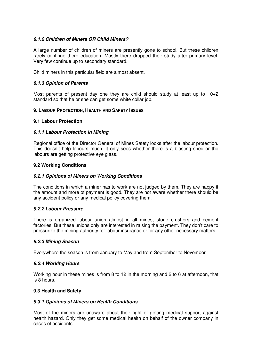# **8.1.2 Children of Miners OR Child Miners?**

A large number of children of miners are presently gone to school. But these children rarely continue there education. Mostly there dropped their study after primary level. Very few continue up to secondary standard.

Child miners in this particular field are almost absent.

#### **8.1.3 Opinion of Parents**

Most parents of present day one they are child should study at least up to  $10+2$ standard so that he or she can get some white collar job.

#### **9. LABOUR PROTECTION, HEALTH AND SAFETY ISSUES**

#### **9.1 Labour Protection**

#### **9.1.1 Labour Protection in Mining**

Regional office of the Director General of Mines Safety looks after the labour protection. This doesn't help labours much. It only sees whether there is a blasting shed or the labours are getting protective eye glass.

#### **9.2 Working Conditions**

#### **9.2.1 Opinions of Miners on Working Conditions**

The conditions in which a miner has to work are not judged by them. They are happy if the amount and more of payment is good. They are not aware whether there should be any accident policy or any medical policy covering them.

#### **9.2.2 Labour Pressure**

There is organized labour union almost in all mines, stone crushers and cement factories. But these unions only are interested in raising the payment. They don't care to pressurize the mining authority for labour insurance or for any other necessary matters.

#### **9.2.3 Mining Season**

Everywhere the season is from January to May and from September to November

#### **9.2.4 Working Hours**

Working hour in these mines is from 8 to 12 in the morning and 2 to 6 at afternoon, that is 8 hours.

#### **9.3 Health and Safety**

#### **9.3.1 Opinions of Miners on Health Conditions**

Most of the miners are unaware about their right of getting medical support against health hazard. Only they get some medical health on behalf of the owner company in cases of accidents.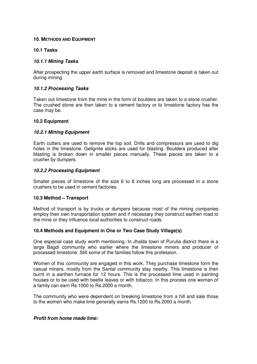#### **10. METHODS AND EQUIPMENT**

#### **10.1 Tasks**

#### **10.1.1 Mining Tasks**

After prospecting the upper earth surface is removed and limestone deposit is taken out during mining.

#### **10.1.2 Processing Tasks**

Taken out limestone from the mine in the form of boulders are taken to a stone crusher. The crushed stone are then taken to a cement factory or to limestone factory has the case may be.

#### **10.2 Equipment**

#### **10.2.1 Mining Equipment**

Earth cutters are used to remove the top soil. Drills and compressors are used to dig holes in the limestone. Gelignite sticks are used for blasting. Boulders produced after blasting is broken down in smaller pieces manually. These pieces are taken to a crusher by dumpers.

#### **10.2.2 Processing Equipment**

Smaller pieces of limestone of the size 6 to 8 inches long are processed in a stone crushers to be used in cement factories.

#### **10.3 Method – Transport**

Method of transport is by trucks or dumpers because most of the mining companies employ their own transportation system and if necessary they construct earthen road to the mine or they influence local authorities to construct roads.

#### **10.4 Methods and Equipment in One or Two Case Study Village(s)**

One especial case study worth mentioning. In Jhalda town of Purulia district there is a large Bagdi community who earlier where the limestone miners and producer of processed limestone. Still some of the families follow this profession.

Women of this community are engaged in this work. They purchase limestone form the casual miners, mostly from the Santal community stay nearby. This limestone is then burnt in a earthen furnace for 12 hours. This is the processed lime used in painting houses or to be used with beetle leaves or with tobacco. In this process one woman of a family can earn Rs.1000 to Rs.2000 a month.

The community who were dependent on breaking limestone from a hill and sale those to the women who make lime generally earns Rs.1200 to Rs.2000 a month.

#### **Profit from home made lime:**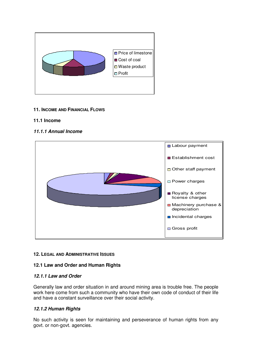

# **11. INCOME AND FINANCIAL FLOWS**

#### **11.1 Income**

# **11.1.1 Annual Income**



# **12. LEGAL AND ADMINISTRATIVE ISSUES**

# **12.1 Law and Order and Human Rights**

#### **12.1.1 Law and Order**

Generally law and order situation in and around mining area is trouble free. The people work here come from such a community who have their own code of conduct of their life and have a constant surveillance over their social activity.

#### **12.1.2 Human Rights**

No such activity is seen for maintaining and perseverance of human rights from any govt. or non-govt. agencies.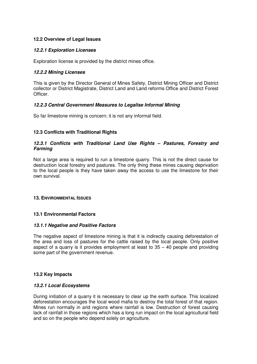# **12.2 Overview of Legal Issues**

## **12.2.1 Exploration Licenses**

Exploration license is provided by the district mines office.

## **12.2.2 Mining Licenses**

This is given by the Director General of Mines Safety, District Mining Officer and District collector or District Magistrate, District Land and Land reforms Office and District Forest Officer.

# **12.2.3 Central Government Measures to Legalise Informal Mining**

So far limestone mining is concern; it is not any informal field.

# **12.3 Conflicts with Traditional Rights**

## **12.3.1 Conflicts with Traditional Land Use Rights – Pastures, Forestry and Farming**

Not a large area is required to run a limestone quarry. This is not the direct cause for destruction local forestry and pastures. The only thing these mines causing deprivation to the local people is they have taken away the access to use the limestone for their own survival.

#### **13. ENVIRONMENTAL ISSUES**

#### **13.1 Environmental Factors**

#### **13.1.1 Negative and Positive Factors**

The negative aspect of limestone mining is that it is indirectly causing deforestation of the area and loss of pastures for the cattle raised by the local people. Only positive aspect of a quarry is it provides employment at least to  $35 - 40$  people and providing some part of the government revenue.

#### **13.2 Key Impacts**

#### **13.2.1 Local Ecosystems**

During initiation of a quarry it is necessary to clear up the earth surface. This localized deforestation encourages the local wood mafia to destroy the total forest of that region. Mines run normally in arid regions where rainfall is low. Destruction of forest causing lack of rainfall in those regions which has a long run impact on the local agricultural field and so on the people who depend solely on agriculture.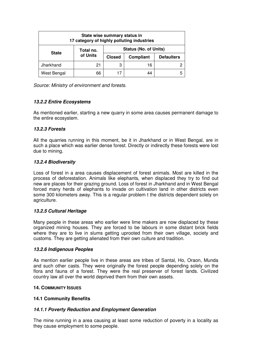| State wise summary status in<br>17 category of highly polluting industries |           |               |                              |                   |  |  |  |  |
|----------------------------------------------------------------------------|-----------|---------------|------------------------------|-------------------|--|--|--|--|
| <b>State</b>                                                               | Total no. |               | <b>Status (No. of Units)</b> |                   |  |  |  |  |
|                                                                            | of Units  | <b>Closed</b> | Compliant                    | <b>Defaulters</b> |  |  |  |  |
| Jharkhand                                                                  | 21        | 3             | 16                           | כי                |  |  |  |  |
| West Bengal                                                                | 66        |               | 44                           | 5                 |  |  |  |  |

Source: Ministry of environment and forests.

# **13.2.2 Entire Ecosystems**

As mentioned earlier, starting a new quarry in some area causes permanent damage to the entire ecosystem.

#### **13.2.3 Forests**

All the quarries running in this moment, be it in Jharkhand or in West Bengal, are in such a place which was earlier dense forest. Directly or indirectly these forests were lost due to mining.

#### **13.2.4 Biodiversity**

Loss of forest in a area causes displacement of forest animals. Most are killed in the process of deforestation. Animals like elephants, when displaced they try to find out new are places for their grazing ground. Loss of forest in Jharkhand and in West Bengal forced many herds of elephants to invade on cultivation land in other districts even some 300 kilometers away. This is a regular problem t the districts dependent solely on agriculture.

#### **13.2.5 Cultural Heritage**

Many people in these areas who earlier were lime makers are now displaced by these organized mining houses. They are forced to be labours in some distant brick fields where they are to live in slums getting uprooted from their own village, society and customs. They are getting alienated from their own culture and tradition.

#### **13.2.6 Indigenous Peoples**

As mention earlier people live in these areas are tribes of Santal, Ho, Oraon, Munda and such other casts. They were originally the forest people depending solely on the flora and fauna of a forest. They were the real preserver of forest lands. Civilized country law all over the world deprived them from their own assets.

#### **14. COMMUNITY ISSUES**

#### **14.1 Community Benefits**

#### **14.1.1 Poverty Reduction and Employment Generation**

The mine running in a area causing at least some reduction of poverty in a locality as they cause employment to some people.